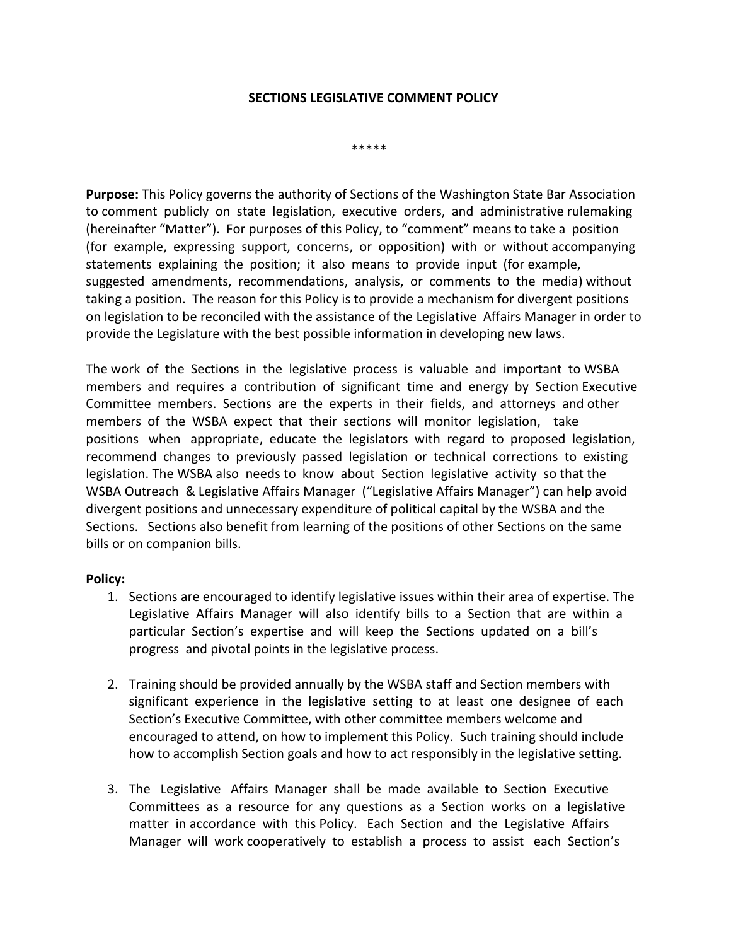## **SECTIONS LEGISLATIVE COMMENT POLICY**

\*\*\*\*\*

**Purpose:** This Policy governs the authority of Sections of the Washington State Bar Association to comment publicly on state legislation, executive orders, and administrative rulemaking (hereinafter "Matter"). For purposes of this Policy, to "comment" means to take a position (for example, expressing support, concerns, or opposition) with or without accompanying statements explaining the position; it also means to provide input (for example, suggested amendments, recommendations, analysis, or comments to the media) without taking a position. The reason for this Policy is to provide a mechanism for divergent positions on legislation to be reconciled with the assistance of the Legislative Affairs Manager in order to provide the Legislature with the best possible information in developing new laws.

The work of the Sections in the legislative process is valuable and important to WSBA members and requires a contribution of significant time and energy by Section Executive Committee members. Sections are the experts in their fields, and attorneys and other members of the WSBA expect that their sections will monitor legislation, take positions when appropriate, educate the legislators with regard to proposed legislation, recommend changes to previously passed legislation or technical corrections to existing legislation. The WSBA also needs to know about Section legislative activity so that the WSBA Outreach & Legislative Affairs Manager ("Legislative Affairs Manager") can help avoid divergent positions and unnecessary expenditure of political capital by the WSBA and the Sections. Sections also benefit from learning of the positions of other Sections on the same bills or on companion bills.

## **Policy:**

- 1. Sections are encouraged to identify legislative issues within their area of expertise. The Legislative Affairs Manager will also identify bills to a Section that are within a particular Section's expertise and will keep the Sections updated on a bill's progress and pivotal points in the legislative process.
- 2. Training should be provided annually by the WSBA staff and Section members with significant experience in the legislative setting to at least one designee of each Section's Executive Committee, with other committee members welcome and encouraged to attend, on how to implement this Policy. Such training should include how to accomplish Section goals and how to act responsibly in the legislative setting.
- 3. The Legislative Affairs Manager shall be made available to Section Executive Committees as a resource for any questions as a Section works on a legislative matter in accordance with this Policy. Each Section and the Legislative Affairs Manager will work cooperatively to establish a process to assist each Section's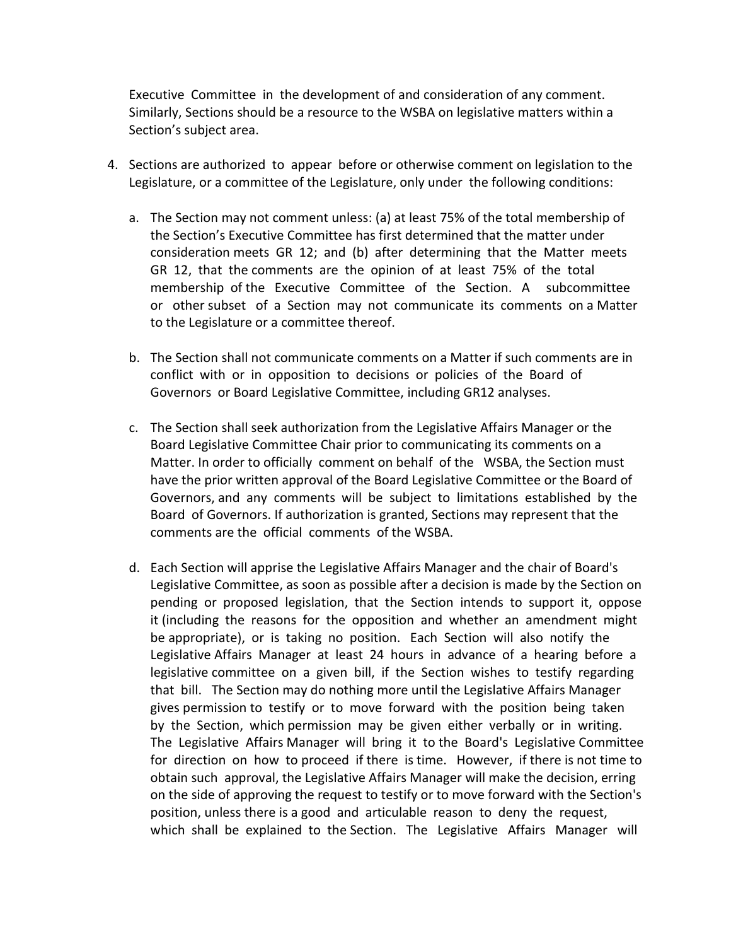Executive Committee in the development of and consideration of any comment. Similarly, Sections should be a resource to the WSBA on legislative matters within a Section's subject area.

- 4. Sections are authorized to appear before or otherwise comment on legislation to the Legislature, or a committee of the Legislature, only under the following conditions:
	- a. The Section may not comment unless: (a) at least 75% of the total membership of the Section's Executive Committee has first determined that the matter under consideration meets GR 12; and (b) after determining that the Matter meets GR 12, that the comments are the opinion of at least 75% of the total membership of the Executive Committee of the Section. A subcommittee or other subset of a Section may not communicate its comments on a Matter to the Legislature or a committee thereof.
	- b. The Section shall not communicate comments on a Matter if such comments are in conflict with or in opposition to decisions or policies of the Board of Governors or Board Legislative Committee, including GR12 analyses.
	- c. The Section shall seek authorization from the Legislative Affairs Manager or the Board Legislative Committee Chair prior to communicating its comments on a Matter. In order to officially comment on behalf of the WSBA, the Section must have the prior written approval of the Board Legislative Committee or the Board of Governors, and any comments will be subject to limitations established by the Board of Governors. If authorization is granted, Sections may represent that the comments are the official comments of the WSBA.
	- d. Each Section will apprise the Legislative Affairs Manager and the chair of Board's Legislative Committee, as soon as possible after a decision is made by the Section on pending or proposed legislation, that the Section intends to support it, oppose it (including the reasons for the opposition and whether an amendment might be appropriate), or is taking no position. Each Section will also notify the Legislative Affairs Manager at least 24 hours in advance of a hearing before a legislative committee on a given bill, if the Section wishes to testify regarding that bill. The Section may do nothing more until the Legislative Affairs Manager gives permission to testify or to move forward with the position being taken by the Section, which permission may be given either verbally or in writing. The Legislative Affairs Manager will bring it to the Board's Legislative Committee for direction on how to proceed if there is time. However, if there is not time to obtain such approval, the Legislative Affairs Manager will make the decision, erring on the side of approving the request to testify or to move forward with the Section's position, unless there is a good and articulable reason to deny the request, which shall be explained to the Section. The Legislative Affairs Manager will